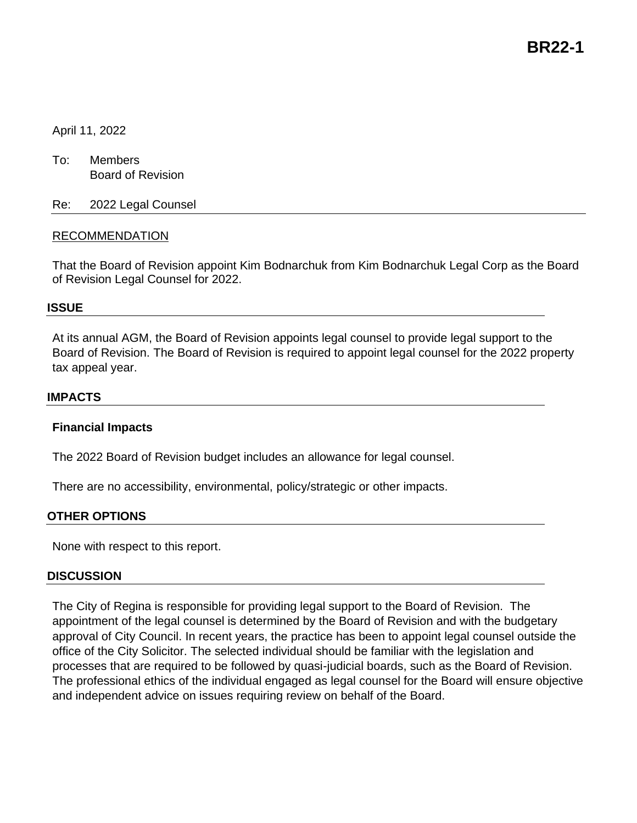**BR22-1**

# April 11, 2022

To: Members Board of Revision

Re: 2022 Legal Counsel

# RECOMMENDATION

That the Board of Revision appoint Kim Bodnarchuk from Kim Bodnarchuk Legal Corp as the Board of Revision Legal Counsel for 2022.

### **ISSUE**

At its annual AGM, the Board of Revision appoints legal counsel to provide legal support to the Board of Revision. The Board of Revision is required to appoint legal counsel for the 2022 property tax appeal year.

### **IMPACTS**

### **Financial Impacts**

The 2022 Board of Revision budget includes an allowance for legal counsel.

There are no accessibility, environmental, policy/strategic or other impacts.

### **OTHER OPTIONS**

None with respect to this report.

### **DISCUSSION**

The City of Regina is responsible for providing legal support to the Board of Revision. The appointment of the legal counsel is determined by the Board of Revision and with the budgetary approval of City Council. In recent years, the practice has been to appoint legal counsel outside the office of the City Solicitor. The selected individual should be familiar with the legislation and processes that are required to be followed by quasi-judicial boards, such as the Board of Revision. The professional ethics of the individual engaged as legal counsel for the Board will ensure objective and independent advice on issues requiring review on behalf of the Board.